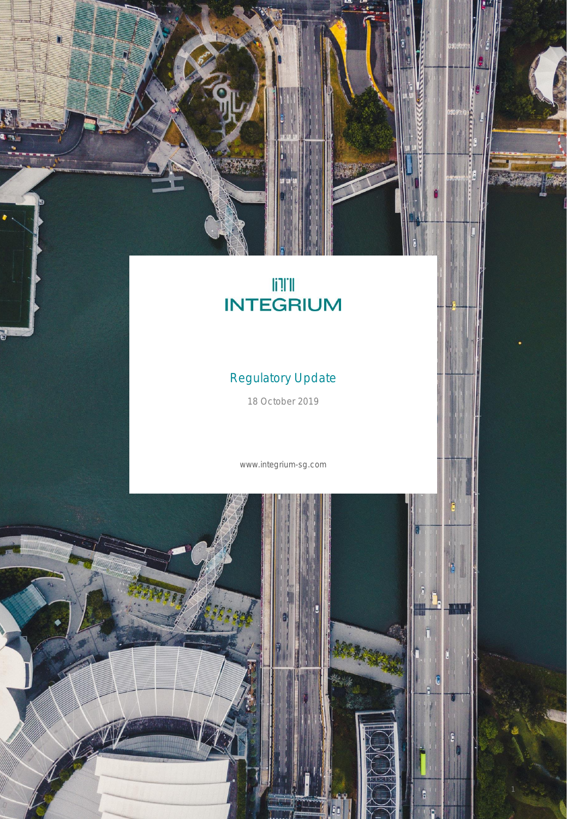# **ITE**<br>INTEGRIUM

ACCESSES

## Regulatory Update

18 October 2019

www.integrium-sg.com

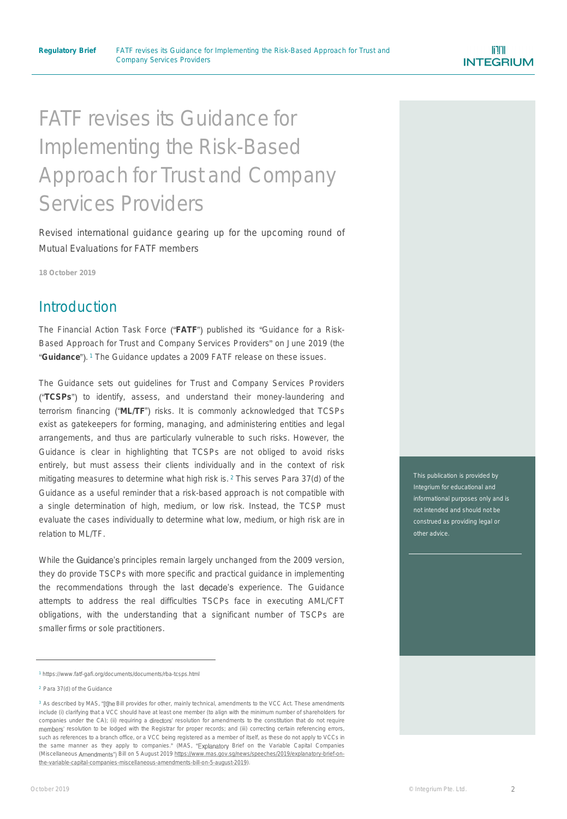## FATF revises its Guidance for Implementing the Risk-Based Approach for Trust and Company Services Providers

Revised international guidance gearing up for the upcoming round of Mutual Evaluations for FATF members

**18 October 2019**

#### **Introduction**

The Financial Action Task Force ("FATF") published its "Guidance for a Risk-*Based Approach for Trust and Company Services Providers* on June 2019 (the Guidance").<sup>1</sup> The Guidance updates a 2009 FATF release on these issues.

The Guidance sets out guidelines for Trust and Company Services Providers **TCSPs** to identify, assess, and understand their money-laundering and terrorism financing ("ML/TF") risks. It is commonly acknowledged that TCSPs exist as gatekeepers for forming, managing, and administering entities and legal arrangements, and thus are particularly vulnerable to such risks. However, the Guidance is clear in highlighting that TCSPs are not obliged to avoid risks entirely, but must assess their clients individually and in the context of risk mitigating measures to determine what high risk is. <sup>2</sup> This serves Para 37(d) of the Guidance as a useful reminder that a risk-based approach is not compatible with a single determination of high, medium, or low risk. Instead, the TCSP must evaluate the cases individually to determine what low, medium, or high risk are in relation to ML/TF.

While the Guidance's principles remain largely unchanged from the 2009 version, they do provide TSCPs with more specific and practical guidance in implementing the recommendations through the last decade's experience. The Guidance attempts to address the real difficulties TSCPs face in executing AML/CFT obligations, with the understanding that a significant number of TSCPs are smaller firms or sole practitioners.

This publication is provided by Integrium for educational and not intended and should not be construed as providing legal or other advice.

<sup>1</sup> https://www.fatf-gafi.org/documents/documents/rba-tcsps.html

<sup>2</sup> Para 37(d) of the Guidance

<sup>&</sup>lt;sup>3</sup> As described by MAS, "[t]he Bill provides for other, mainly technical, amendments to the VCC Act. These amendments include (i) clarifying that a VCC should have at least one member (to align with the minimum number of shareholders for companies under the CA); (ii) requiring a directors' resolution for amendments to the constitution that do not require members' resolution to be lodged with the Registrar for proper records; and (iii) correcting certain referencing errors, such as references to a branch office, or a VCC being registered as a member of itself, as these do not apply to VCCs in the same manner as they apply to companies." (MAS, "Explanatory Brief on the Variable Capital Companies (Miscellaneous Amendments") Bill on 5 August 2019 https://www.mas.gov.sg/news/speeches/2019/explanatory-brief-on[the-variable-capital-companies-miscellaneous-amendments-bill-on-5-august-2019\).](https://www.mas.gov.sg/news/speeches/2019/explanatory-brief-on-the-variable-capital-companies-miscellaneous-amendments-bill-on-5-august-2019)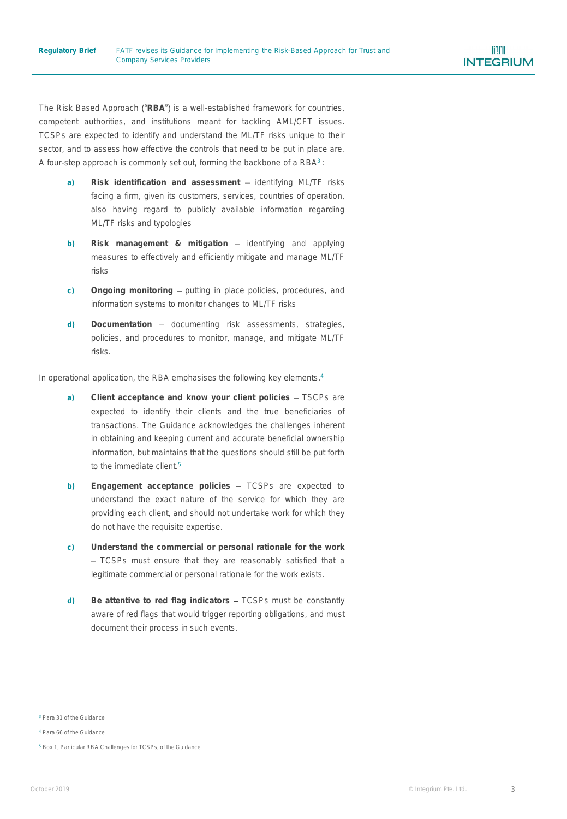The Risk Based Approach ("RBA") is a well-established framework for countries, competent authorities, and institutions meant for tackling AML/CFT issues. TCSPs are expected to identify and understand the ML/TF risks unique to their sector, and to assess how effective the controls that need to be put in place are. A four-step approach is commonly set out, forming the backbone of a  $\mathsf{RBA^3}$ :

- a) Risk identification and assessment identifying ML/TF risks facing a firm, given its customers, services, countries of operation, also having regard to publicly available information regarding ML/TF risks and typologies
- **b)** Risk management & mitigation identifying and applying measures to effectively and efficiently mitigate and manage ML/TF risks
- c) Ongoing monitoring putting in place policies, procedures, and information systems to monitor changes to ML/TF risks
- d) Documentation documenting risk assessments, strategies, policies, and procedures to monitor, manage, and mitigate ML/TF risks.

In operational application, the RBA emphasises the following key elements. 4

- **a) Client acceptance and know your client policies** TSCPs are expected to identify their clients and the true beneficiaries of transactions. The Guidance acknowledges the challenges inherent in obtaining and keeping current and accurate beneficial ownership information, but maintains that the questions should still be put forth to the immediate client. 5
- **b) Engagement acceptance policies** TCSPs are expected to understand the exact nature of the service for which they are providing each client, and should not undertake work for which they do not have the requisite expertise.
- **c) Understand the commercial or personal rationale for the work** - TCSPs must ensure that they are reasonably satisfied that a legitimate commercial or personal rationale for the work exists.
- **d) Be attentive to red flag indicators** TCSPs must be constantly aware of red flags that would trigger reporting obligations, and must document their process in such events.

<sup>3</sup> Para 31 of the Guidance

<sup>4</sup> Para 66 of the Guidance

<sup>5</sup> Box 1, *Particular RBA Challenges for TCSPs*, of the Guidance